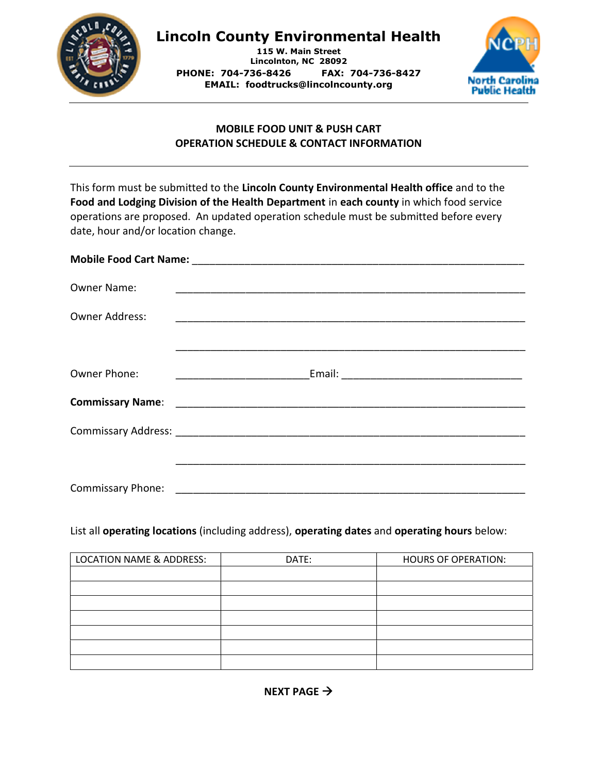

## Lincoln County Environmental Health

115 W. Main Street Lincolnton, NC 28092 PHONE: 704-736-8426 FAX: 704-736-8427 EMAIL: foodtrucks@lincolncounty.org



## MOBILE FOOD UNIT & PUSH CART OPERATION SCHEDULE & CONTACT INFORMATION

| This form must be submitted to the Lincoln County Environmental Health office and to the<br>Food and Lodging Division of the Health Department in each county in which food service<br>operations are proposed. An updated operation schedule must be submitted before every<br>date, hour and/or location change. |  |  |  |  |  |
|--------------------------------------------------------------------------------------------------------------------------------------------------------------------------------------------------------------------------------------------------------------------------------------------------------------------|--|--|--|--|--|
|                                                                                                                                                                                                                                                                                                                    |  |  |  |  |  |
| <b>Owner Name:</b>                                                                                                                                                                                                                                                                                                 |  |  |  |  |  |
| <b>Owner Address:</b>                                                                                                                                                                                                                                                                                              |  |  |  |  |  |
| Owner Phone:                                                                                                                                                                                                                                                                                                       |  |  |  |  |  |
|                                                                                                                                                                                                                                                                                                                    |  |  |  |  |  |
|                                                                                                                                                                                                                                                                                                                    |  |  |  |  |  |
|                                                                                                                                                                                                                                                                                                                    |  |  |  |  |  |
| <b>Commissary Phone:</b>                                                                                                                                                                                                                                                                                           |  |  |  |  |  |

## List all operating locations (including address), operating dates and operating hours below:

| <b>LOCATION NAME &amp; ADDRESS:</b> | DATE: | <b>HOURS OF OPERATION:</b> |
|-------------------------------------|-------|----------------------------|
|                                     |       |                            |
|                                     |       |                            |
|                                     |       |                            |
|                                     |       |                            |
|                                     |       |                            |
|                                     |       |                            |
|                                     |       |                            |

NEXT PAGE  $\rightarrow$